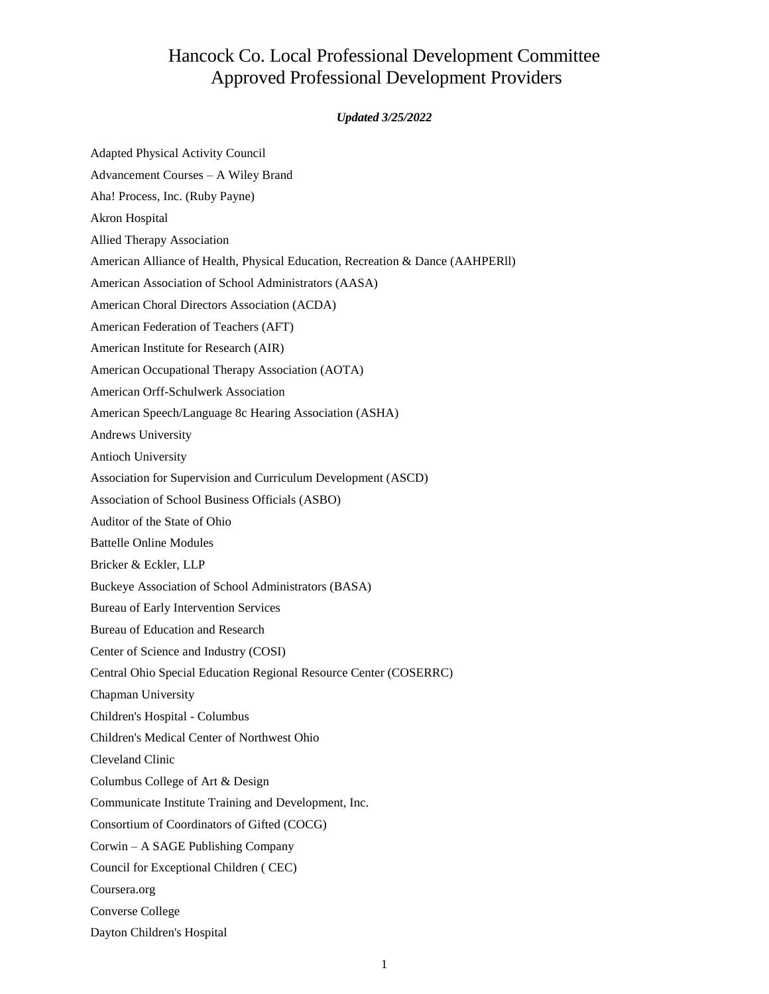## Hancock Co. Local Professional Development Committee Approved Professional Development Providers

## *Updated 3/25/2022*

| Adapted Physical Activity Council                                              |
|--------------------------------------------------------------------------------|
| Advancement Courses - A Wiley Brand                                            |
| Aha! Process, Inc. (Ruby Payne)                                                |
| <b>Akron Hospital</b>                                                          |
| <b>Allied Therapy Association</b>                                              |
| American Alliance of Health, Physical Education, Recreation & Dance (AAHPERII) |
| American Association of School Administrators (AASA)                           |
| American Choral Directors Association (ACDA)                                   |
| American Federation of Teachers (AFT)                                          |
| American Institute for Research (AIR)                                          |
| American Occupational Therapy Association (AOTA)                               |
| <b>American Orff-Schulwerk Association</b>                                     |
| American Speech/Language 8c Hearing Association (ASHA)                         |
| Andrews University                                                             |
| Antioch University                                                             |
| Association for Supervision and Curriculum Development (ASCD)                  |
| Association of School Business Officials (ASBO)                                |
| Auditor of the State of Ohio                                                   |
| <b>Battelle Online Modules</b>                                                 |
| Bricker & Eckler, LLP                                                          |
| Buckeye Association of School Administrators (BASA)                            |
| <b>Bureau of Early Intervention Services</b>                                   |
| Bureau of Education and Research                                               |
| Center of Science and Industry (COSI)                                          |
| Central Ohio Special Education Regional Resource Center (COSERRC)              |
| Chapman University                                                             |
| Children's Hospital - Columbus                                                 |
| Children's Medical Center of Northwest Ohio                                    |
| Cleveland Clinic                                                               |
| Columbus College of Art & Design                                               |
| Communicate Institute Training and Development, Inc.                           |
| Consortium of Coordinators of Gifted (COCG)                                    |
| Corwin - A SAGE Publishing Company                                             |
| Council for Exceptional Children (CEC)                                         |
| Coursera.org                                                                   |
| <b>Converse College</b>                                                        |
| Dayton Children's Hospital                                                     |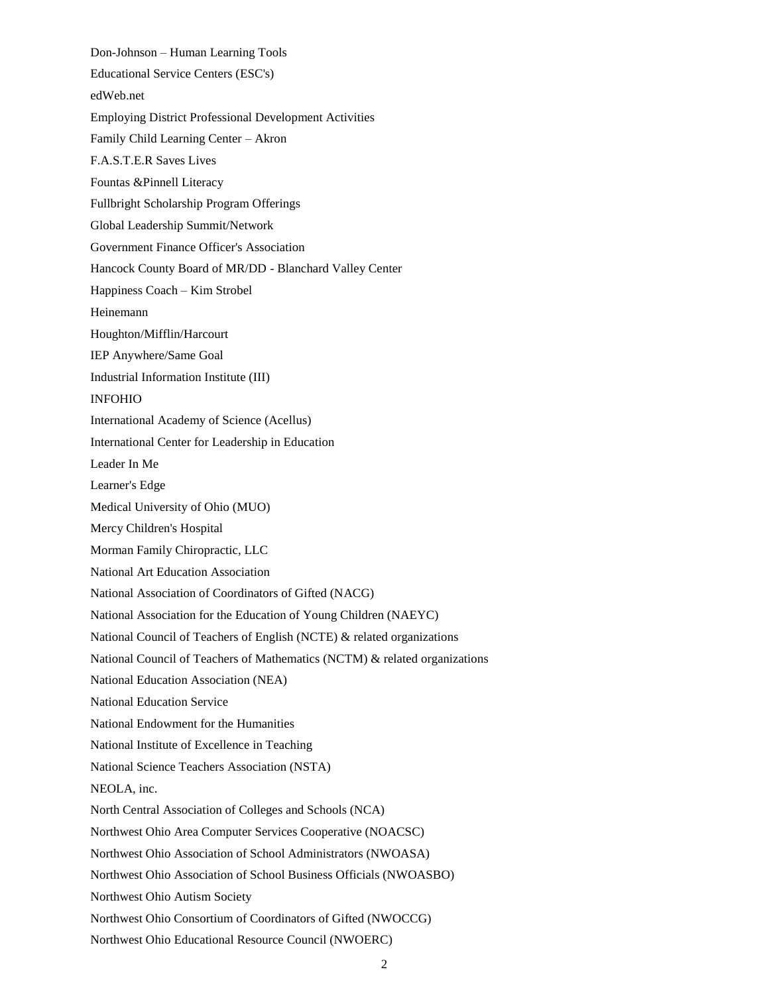Don-Johnson – Human Learning Tools Educational Service Centers (ESC's) edWeb.net Employing District Professional Development Activities Family Child Learning Center – Akron F.A.S.T.E.R Saves Lives Fountas &Pinnell Literacy Fullbright Scholarship Program Offerings Global Leadership Summit/Network Government Finance Officer's Association Hancock County Board of MR/DD - Blanchard Valley Center Happiness Coach – Kim Strobel Heinemann Houghton/Mifflin/Harcourt IEP Anywhere/Same Goal Industrial Information Institute (III) INFOHIO International Academy of Science (Acellus) International Center for Leadership in Education Leader In Me Learner's Edge Medical University of Ohio (MUO) Mercy Children's Hospital Morman Family Chiropractic, LLC National Art Education Association National Association of Coordinators of Gifted (NACG) National Association for the Education of Young Children (NAEYC) National Council of Teachers of English (NCTE) & related organizations National Council of Teachers of Mathematics (NCTM) & related organizations National Education Association (NEA) National Education Service National Endowment for the Humanities National Institute of Excellence in Teaching National Science Teachers Association (NSTA) NEOLA, inc. North Central Association of Colleges and Schools (NCA) Northwest Ohio Area Computer Services Cooperative (NOACSC) Northwest Ohio Association of School Administrators (NWOASA) Northwest Ohio Association of School Business Officials (NWOASBO) Northwest Ohio Autism Society Northwest Ohio Consortium of Coordinators of Gifted (NWOCCG)

Northwest Ohio Educational Resource Council (NWOERC)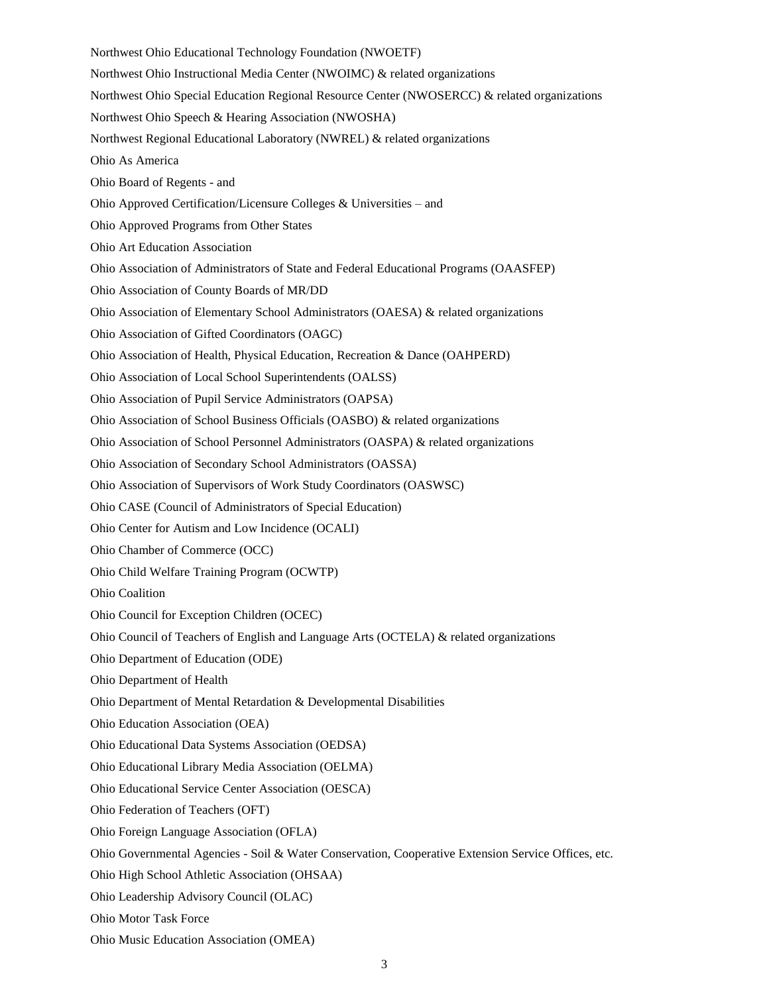- Northwest Ohio Educational Technology Foundation (NWOETF) Northwest Ohio Instructional Media Center (NWOIMC) & related organizations Northwest Ohio Special Education Regional Resource Center (NWOSERCC) & related organizations Northwest Ohio Speech & Hearing Association (NWOSHA) Northwest Regional Educational Laboratory (NWREL) & related organizations Ohio As America Ohio Board of Regents - and Ohio Approved Certification/Licensure Colleges & Universities – and Ohio Approved Programs from Other States Ohio Art Education Association Ohio Association of Administrators of State and Federal Educational Programs (OAASFEP) Ohio Association of County Boards of MR/DD Ohio Association of Elementary School Administrators (OAESA) & related organizations Ohio Association of Gifted Coordinators (OAGC) Ohio Association of Health, Physical Education, Recreation & Dance (OAHPERD) Ohio Association of Local School Superintendents (OALSS) Ohio Association of Pupil Service Administrators (OAPSA) Ohio Association of School Business Officials (OASBO) & related organizations Ohio Association of School Personnel Administrators (OASPA) & related organizations Ohio Association of Secondary School Administrators (OASSA) Ohio Association of Supervisors of Work Study Coordinators (OASWSC) Ohio CASE (Council of Administrators of Special Education) Ohio Center for Autism and Low Incidence (OCALI) Ohio Chamber of Commerce (OCC) Ohio Child Welfare Training Program (OCWTP) Ohio Coalition Ohio Council for Exception Children (OCEC) Ohio Council of Teachers of English and Language Arts (OCTELA) & related organizations Ohio Department of Education (ODE) Ohio Department of Health Ohio Department of Mental Retardation & Developmental Disabilities Ohio Education Association (OEA) Ohio Educational Data Systems Association (OEDSA) Ohio Educational Library Media Association (OELMA) Ohio Educational Service Center Association (OESCA) Ohio Federation of Teachers (OFT) Ohio Foreign Language Association (OFLA) Ohio Governmental Agencies - Soil & Water Conservation, Cooperative Extension Service Offices, etc. Ohio High School Athletic Association (OHSAA) Ohio Leadership Advisory Council (OLAC) Ohio Motor Task Force
- Ohio Music Education Association (OMEA)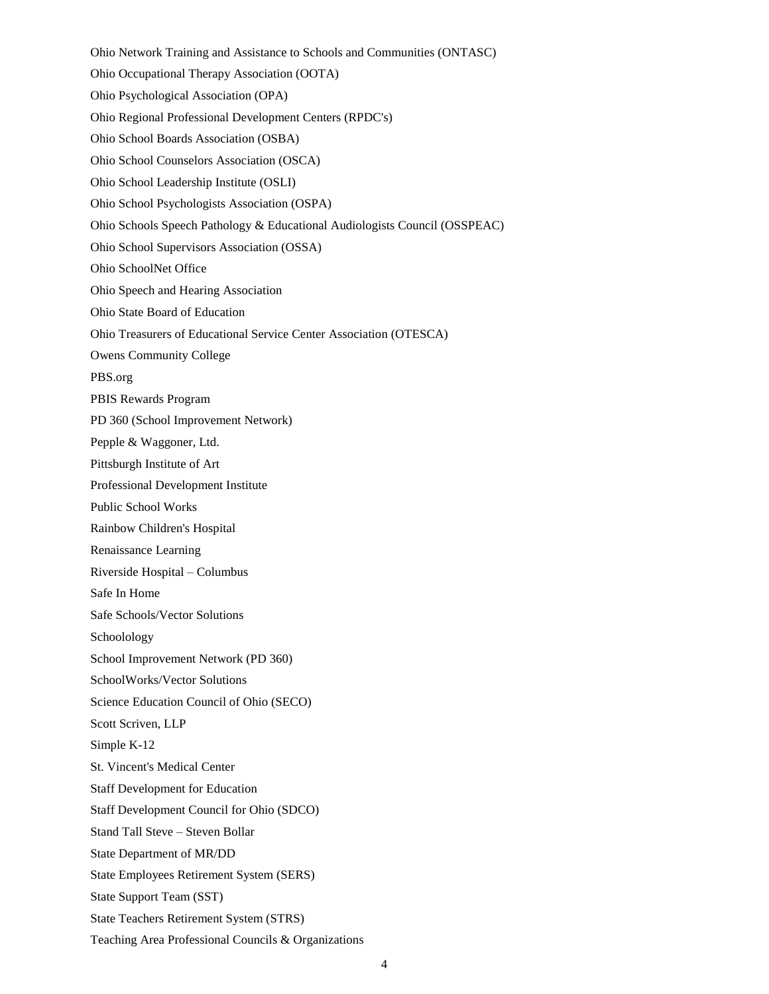Ohio Network Training and Assistance to Schools and Communities (ONTASC) Ohio Occupational Therapy Association (OOTA) Ohio Psychological Association (OPA) Ohio Regional Professional Development Centers (RPDC's) Ohio School Boards Association (OSBA) Ohio School Counselors Association (OSCA) Ohio School Leadership Institute (OSLI) Ohio School Psychologists Association (OSPA) Ohio Schools Speech Pathology & Educational Audiologists Council (OSSPEAC) Ohio School Supervisors Association (OSSA) Ohio SchoolNet Office Ohio Speech and Hearing Association Ohio State Board of Education Ohio Treasurers of Educational Service Center Association (OTESCA) Owens Community College PBS.org PBIS Rewards Program PD 360 (School Improvement Network) Pepple & Waggoner, Ltd. Pittsburgh Institute of Art Professional Development Institute Public School Works Rainbow Children's Hospital Renaissance Learning Riverside Hospital – Columbus Safe In Home Safe Schools/Vector Solutions Schoolology School Improvement Network (PD 360) SchoolWorks/Vector Solutions Science Education Council of Ohio (SECO) Scott Scriven, LLP Simple K-12 St. Vincent's Medical Center Staff Development for Education Staff Development Council for Ohio (SDCO) Stand Tall Steve – Steven Bollar State Department of MR/DD State Employees Retirement System (SERS) State Support Team (SST) State Teachers Retirement System (STRS) Teaching Area Professional Councils & Organizations